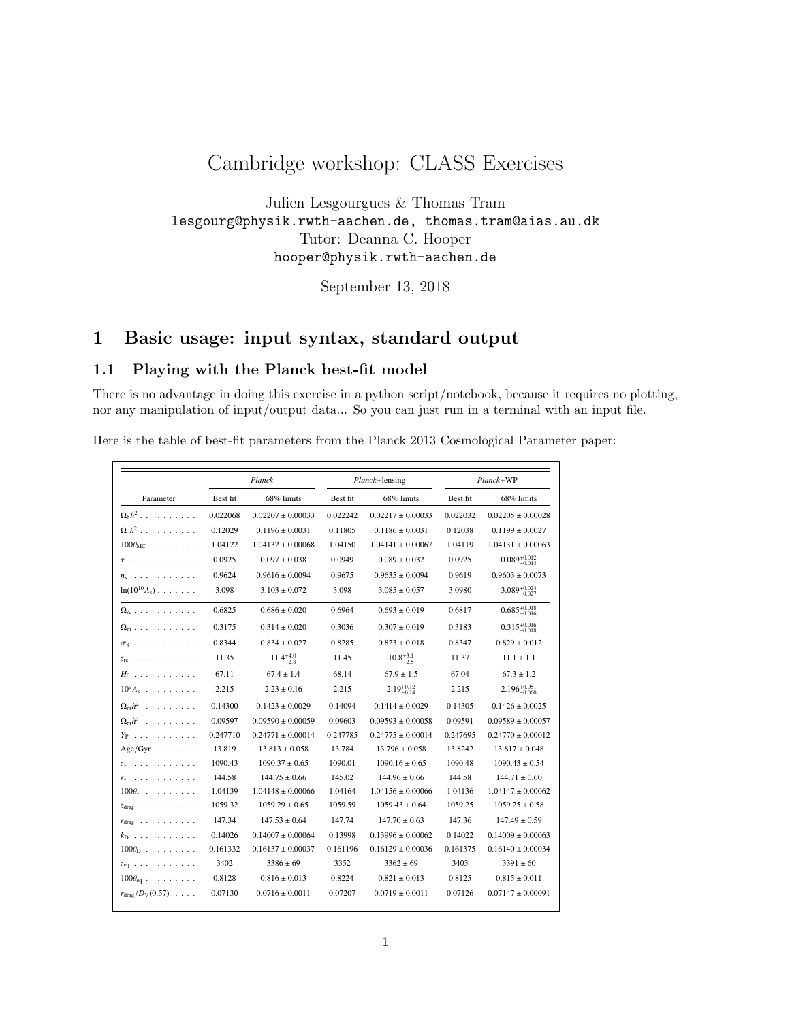# Cambridge workshop: CLASS Exercises

Julien Lesgourgues & Thomas Tram lesgourg@physik.rwth-aachen.de, thomas.tram@aias.au.dk Tutor: Deanna C. Hooper hooper@physik.rwth-aachen.de

September 13, 2018

# 1 Basic usage: input syntax, standard output

## 1.1 Playing with the Planck best-fit model

There is no advantage in doing this exercise in a python script/notebook, because it requires no plotting, nor any manipulation of input/output data... So you can just run in a terminal with an input file.

Here is the table of best-fit parameters from the Planck 2013 Cosmological Parameter paper:

| Parameter                               | Planck   |                       | Planck+lensing |                        | Planck+WP |                           |
|-----------------------------------------|----------|-----------------------|----------------|------------------------|-----------|---------------------------|
|                                         | Best fit | 68% limits            | Best fit       | 68% limits             | Best fit  | 68% limits                |
| $\Omega_{\rm b}h^2$ , , , , , , , , , , | 0.022068 | $0.02207 \pm 0.00033$ | 0.022242       | $0.02217 \pm 0.00033$  | 0.022032  | $0.02205 \pm 0.00028$     |
| $\Omega_c h^2$                          | 0.12029  | $0.1196 \pm 0.0031$   | 0.11805        | $0.1186 \pm 0.0031$    | 0.12038   | $0.1199 \pm 0.0027$       |
| $100\theta_{MC}$                        | 1.04122  | $1.04132 \pm 0.00068$ | 1.04150        | $1.04141 \pm 0.00067$  | 1.04119   | $1.04131 \pm 0.00063$     |
| $\tau$                                  | 0.0925   | $0.097 \pm 0.038$     | 0.0949         | $0.089 \pm 0.032$      | 0.0925    | $0.089^{+0.012}_{-0.014}$ |
| .<br>$n_{s}$                            | 0.9624   | $0.9616 \pm 0.0094$   | 0.9675         | $0.9635 \pm 0.0094$    | 0.9619    | $0.9603 \pm 0.0073$       |
| $\ln(10^{10}A_s)$                       | 3.098    | $3.103 \pm 0.072$     | 3.098          | $3.085\pm0.057$        | 3.0980    | $3.089_{-0.027}^{+0.024}$ |
| $\Omega_{\Lambda}$                      | 0.6825   | $0.686 \pm 0.020$     | 0.6964         | $0.693 \pm 0.019$      | 0.6817    | $0.685_{-0.016}^{+0.018}$ |
| $\Omega_{\rm m}$                        | 0.3175   | $0.314 \pm 0.020$     | 0.3036         | $0.307 \pm 0.019$      | 0.3183    | $0.315_{-0.018}^{+0.016}$ |
| $\sigma_8$                              | 0.8344   | $0.834 \pm 0.027$     | 0.8285         | $0.823 \pm 0.018$      | 0.8347    | $0.829 \pm 0.012$         |
| $z_{\rm re}$                            | 11.35    | $11.4^{+4.0}_{-2.8}$  | 11.45          | $10.8^{+3.1}_{-2.5}$   | 11.37     | $11.1 \pm 1.1$            |
| $H_0$                                   | 67.11    | $67.4 \pm 1.4$        | 68.14          | $67.9 \pm 1.5$         | 67.04     | $67.3 \pm 1.2$            |
| $10^9A_s$                               | 2.215    | $2.23 \pm 0.16$       | 2.215          | $2.19_{-0.14}^{+0.12}$ | 2.215     | $2.196^{+0.051}_{-0.060}$ |
| $\Omega_{\rm m}h^2$                     | 0.14300  | $0.1423 \pm 0.0029$   | 0.14094        | $0.1414 \pm 0.0029$    | 0.14305   | $0.1426 \pm 0.0025$       |
| $\Omega_{\rm m}h^3$                     | 0.09597  | $0.09590 \pm 0.00059$ | 0.09603        | $0.09593 \pm 0.00058$  | 0.09591   | $0.09589 \pm 0.00057$     |
| $Y_P$                                   | 0.247710 | $0.24771 \pm 0.00014$ | 0.247785       | $0.24775 \pm 0.00014$  | 0.247695  | $0.24770 \pm 0.00012$     |
| $Age/Gyr \dots \dots$                   | 13.819   | $13.813 \pm 0.058$    | 13.784         | $13.796 \pm 0.058$     | 13.8242   | $13.817 \pm 0.048$        |
| .                                       | 1090.43  | $1090.37 \pm 0.65$    | 1090.01        | $1090.16 \pm 0.65$     | 1090.48   | $1090.43 \pm 0.54$        |
| a características                       | 144.58   | $144.75 \pm 0.66$     | 145.02         | $144.96 \pm 0.66$      | 144.58    | $144.71 \pm 0.60$         |
| $100\theta_*$                           | 1.04139  | $1.04148 \pm 0.00066$ | 1.04164        | $1.04156 \pm 0.00066$  | 1.04136   | $1.04147 \pm 0.00062$     |
| $z_{drag}$                              | 1059.32  | $1059.29 \pm 0.65$    | 1059.59        | $1059.43 \pm 0.64$     | 1059.25   | $1059.25 \pm 0.58$        |
| $r_{drag} \dots \dots \dots \dots$      | 147.34   | $147.53 \pm 0.64$     | 147.74         | $147.70 \pm 0.63$      | 147.36    | $147.49 \pm 0.59$         |
| $k_{\rm D}$                             | 0.14026  | $0.14007 \pm 0.00064$ | 0.13998        | $0.13996 \pm 0.00062$  | 0.14022   | $0.14009 \pm 0.00063$     |
| $100\theta_{\rm D}$                     | 0.161332 | $0.16137 \pm 0.00037$ | 0.161196       | $0.16129 \pm 0.00036$  | 0.161375  | $0.16140 \pm 0.00034$     |
| $z_{eq}$                                | 3402     | $3386 \pm 69$         | 3352           | $3362 \pm 69$          | 3403      | $3391 \pm 60$             |
| $100\theta_{\text{eq}}$                 | 0.8128   | $0.816 \pm 0.013$     | 0.8224         | $0.821 \pm 0.013$      | 0.8125    | $0.815 \pm 0.011$         |
| $r_{\rm drag}/D_{\rm V}(0.57) \ldots$ . | 0.07130  | $0.0716 \pm 0.0011$   | 0.07207        | $0.0719 \pm 0.0011$    | 0.07126   | $0.07147 \pm 0.00091$     |

Table 2. Cosmological parameter values for the six-parameter base ⇤CDM model. Columns 2 and 3 give results for the *Planck*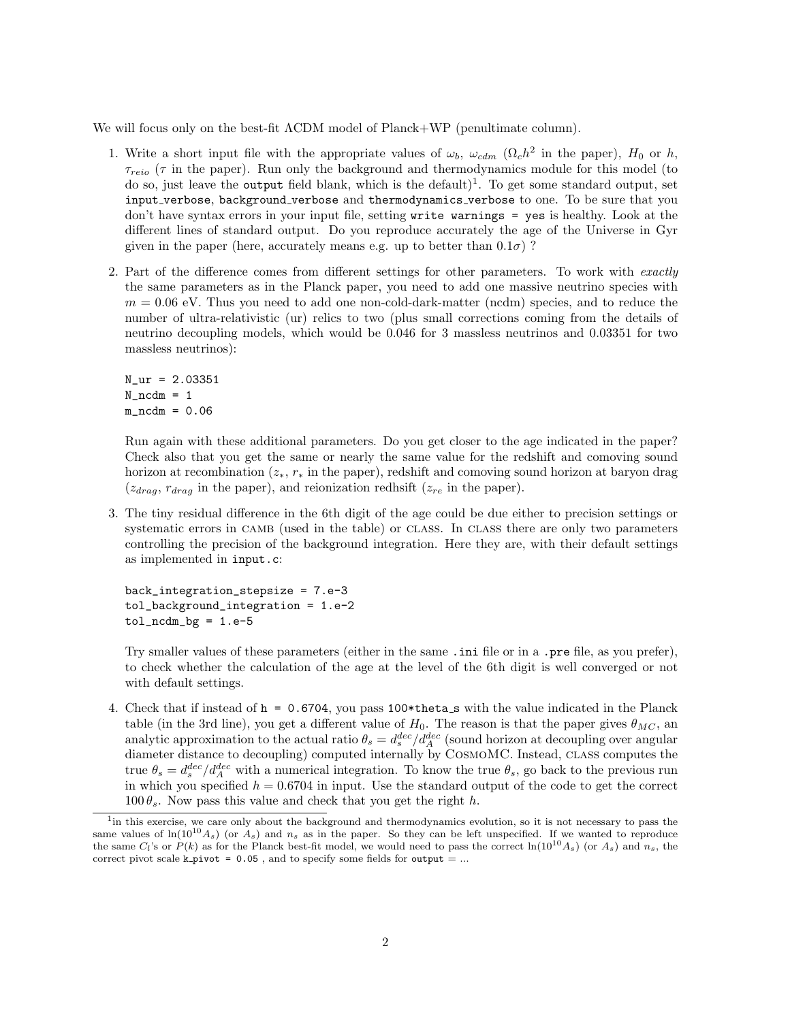We will focus only on the best-fit ΛCDM model of Planck+WP (penultimate column).

- 1. Write a short input file with the appropriate values of  $\omega_b$ ,  $\omega_{cdm}$  ( $\Omega_c h^2$  in the paper),  $H_0$  or h,  $\tau_{reio}$  ( $\tau$  in the paper). Run only the background and thermodynamics module for this model (to do so, just leave the output field blank, which is the default)<sup>1</sup>. To get some standard output, set input verbose, background verbose and thermodynamics verbose to one. To be sure that you don't have syntax errors in your input file, setting write warnings = yes is healthy. Look at the different lines of standard output. Do you reproduce accurately the age of the Universe in Gyr given in the paper (here, accurately means e.g. up to better than  $0.1\sigma$ )?
- 2. Part of the difference comes from different settings for other parameters. To work with exactly the same parameters as in the Planck paper, you need to add one massive neutrino species with  $m = 0.06$  eV. Thus you need to add one non-cold-dark-matter (ncdm) species, and to reduce the number of ultra-relativistic (ur) relics to two (plus small corrections coming from the details of neutrino decoupling models, which would be 0.046 for 3 massless neutrinos and 0.03351 for two massless neutrinos):

```
N_ur = 2.03351
N\_ncdm = 1m\_ncdm = 0.06
```
Run again with these additional parameters. Do you get closer to the age indicated in the paper? Check also that you get the same or nearly the same value for the redshift and comoving sound horizon at recombination  $(z_*, r_*)$  in the paper), redshift and comoving sound horizon at baryon drag  $(z_{drag}, r_{drag}$  in the paper), and reionization redhsift  $(z_{re}$  in the paper).

3. The tiny residual difference in the 6th digit of the age could be due either to precision settings or systematic errors in CAMB (used in the table) or CLASS. In CLASS there are only two parameters controlling the precision of the background integration. Here they are, with their default settings as implemented in input.c:

back\_integration\_stepsize = 7.e-3 tol\_background\_integration = 1.e-2  $tol\_ncdm_bg = 1.e-5$ 

Try smaller values of these parameters (either in the same .ini file or in a .pre file, as you prefer), to check whether the calculation of the age at the level of the 6th digit is well converged or not with default settings.

4. Check that if instead of  $h = 0.6704$ , you pass 100\*theta\_s with the value indicated in the Planck table (in the 3rd line), you get a different value of  $H_0$ . The reason is that the paper gives  $\theta_{MC}$ , an analytic approximation to the actual ratio  $\theta_s = d_s^{dec}/d_A^{dec}$  (sound horizon at decoupling over angular diameter distance to decoupling) computed internally by CosmoMC. Instead, class computes the true  $\theta_s = d_s^{dec}/d_A^{dec}$  with a numerical integration. To know the true  $\theta_s$ , go back to the previous run in which you specified  $h = 0.6704$  in input. Use the standard output of the code to get the correct  $100 \theta_s$ . Now pass this value and check that you get the right h.

<sup>&</sup>lt;sup>1</sup> in this exercise, we care only about the background and thermodynamics evolution, so it is not necessary to pass the same values of  $\ln(10^{10}A_s)$  (or  $A_s$ ) and  $n_s$  as in the paper. So they can be left unspecified. If we wanted to reproduce the same  $C_l$ 's or  $P(k)$  as for the Planck best-fit model, we would need to pass the correct  $\ln(10^{10}A_s)$  (or  $A_s$ ) and  $n_s$ , the correct pivot scale k pivot =  $0.05$ , and to specify some fields for output = ...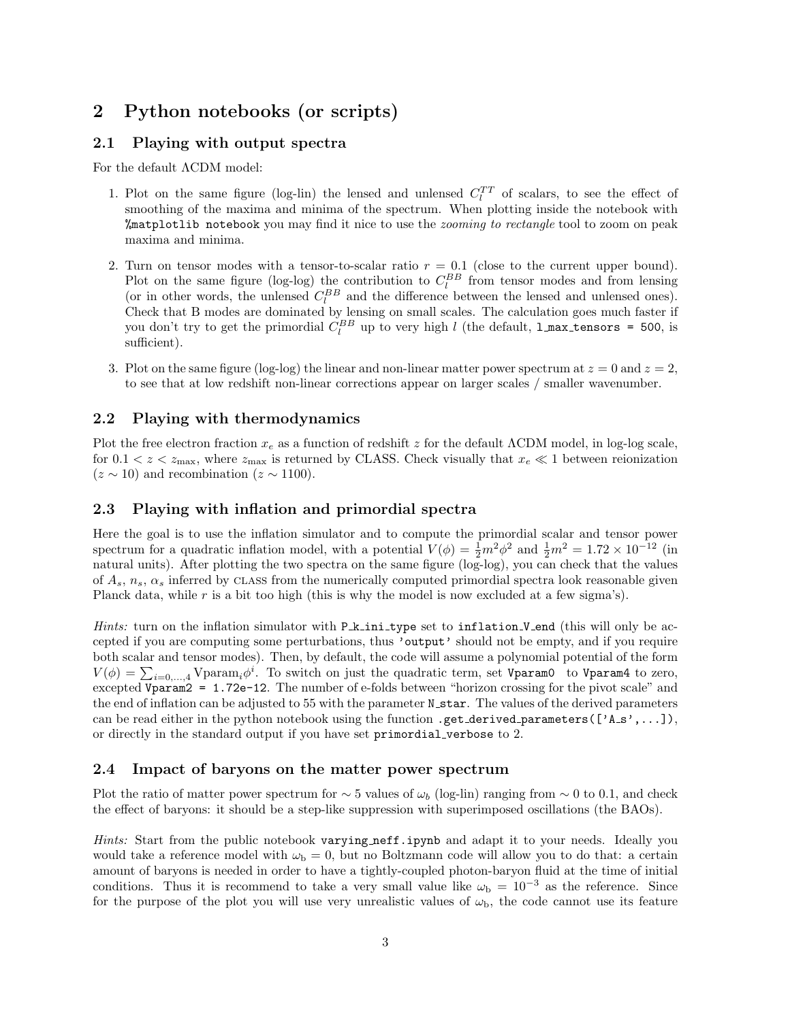# 2 Python notebooks (or scripts)

## 2.1 Playing with output spectra

For the default ΛCDM model:

- 1. Plot on the same figure (log-lin) the lensed and unlensed  $C_l^{TT}$  of scalars, to see the effect of smoothing of the maxima and minima of the spectrum. When plotting inside the notebook with **"** at plotlib notebook you may find it nice to use the *zooming to rectangle* tool to zoom on peak maxima and minima.
- 2. Turn on tensor modes with a tensor-to-scalar ratio  $r = 0.1$  (close to the current upper bound). Plot on the same figure (log-log) the contribution to  $C_l^{BB}$  from tensor modes and from lensing (or in other words, the unlensed  $C_l^{BB}$  and the difference between the lensed and unlensed ones). Check that B modes are dominated by lensing on small scales. The calculation goes much faster if you don't try to get the primordial  $C_l^{BB}$  up to very high l (the default, **l\_max\_tensors = 500**, is sufficient).
- 3. Plot on the same figure (log-log) the linear and non-linear matter power spectrum at  $z = 0$  and  $z = 2$ , to see that at low redshift non-linear corrections appear on larger scales / smaller wavenumber.

## 2.2 Playing with thermodynamics

Plot the free electron fraction  $x_e$  as a function of redshift z for the default  $\Lambda$ CDM model, in log-log scale, for  $0.1 < z < z_{\text{max}}$ , where  $z_{\text{max}}$  is returned by CLASS. Check visually that  $x_e \ll 1$  between reionization  $(z \sim 10)$  and recombination  $(z \sim 1100)$ .

### 2.3 Playing with inflation and primordial spectra

Here the goal is to use the inflation simulator and to compute the primordial scalar and tensor power spectrum for a quadratic inflation model, with a potential  $V(\phi) = \frac{1}{2}m^2\phi^2$  and  $\frac{1}{2}m^2 = 1.72 \times 10^{-12}$  (in natural units). After plotting the two spectra on the same figure (log-log), you can check that the values of  $A_s$ ,  $n_s$ ,  $\alpha_s$  inferred by CLASS from the numerically computed primordial spectra look reasonable given Planck data, while  $r$  is a bit too high (this is why the model is now excluded at a few sigma's).

*Hints:* turn on the inflation simulator with  $P \text{.}$   $\pm$  initiation is to inflation V end (this will only be accepted if you are computing some perturbations, thus 'output' should not be empty, and if you require both scalar and tensor modes). Then, by default, the code will assume a polynomial potential of the form  $V(\phi) = \sum_{i=0,\dots,4} V$ param<sub>i</sub> $\phi^i$ . To switch on just the quadratic term, set Vparam0 to Vparam4 to zero, excepted Vparam2 = 1.72e-12. The number of e-folds between "horizon crossing for the pivot scale" and the end of inflation can be adjusted to 55 with the parameter N\_star. The values of the derived parameters can be read either in the python notebook using the function .get\_derived\_parameters( $['A_s, \ldots]$ ), or directly in the standard output if you have set primordial verbose to 2.

# 2.4 Impact of baryons on the matter power spectrum

Plot the ratio of matter power spectrum for  $\sim$  5 values of  $\omega_b$  (log-lin) ranging from  $\sim$  0 to 0.1, and check the effect of baryons: it should be a step-like suppression with superimposed oscillations (the BAOs).

Hints: Start from the public notebook varying neff.ipynb and adapt it to your needs. Ideally you would take a reference model with  $\omega_b = 0$ , but no Boltzmann code will allow you to do that: a certain amount of baryons is needed in order to have a tightly-coupled photon-baryon fluid at the time of initial conditions. Thus it is recommend to take a very small value like  $\omega_{\rm b} = 10^{-3}$  as the reference. Since for the purpose of the plot you will use very unrealistic values of  $\omega_{\rm b}$ , the code cannot use its feature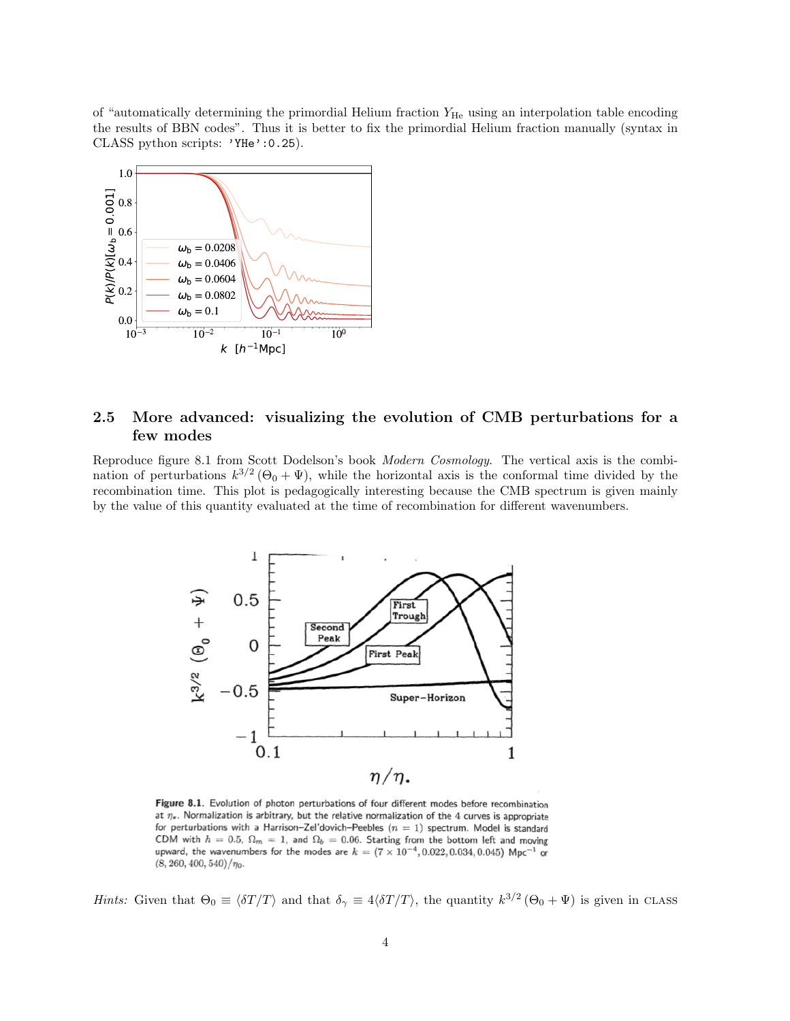of "automatically determining the primordial Helium fraction  $Y_{\text{He}}$  using an interpolation table encoding the results of BBN codes". Thus it is better to fix the primordial Helium fraction manually (syntax in CLASS python scripts: 'YHe':0.25).



# 2.5 More advanced: visualizing the evolution of CMB perturbations for a few modes

Reproduce figure 8.1 from Scott Dodelson's book Modern Cosmology. The vertical axis is the combination of perturbations  $k^{3/2}(\Theta_0 + \Psi)$ , while the horizontal axis is the conformal time divided by the recombination time. This plot is pedagogically interesting because the CMB spectrum is given mainly by the value of this quantity evaluated at the time of recombination for different wavenumbers.



Figure 8.1. Evolution of photon perturbations of four different modes before recombination at  $\eta_*$ . Normalization is arbitrary, but the relative normalization of the 4 curves is appropriate for perturbations with a Harrison-Zel'dovich-Peebles  $(n = 1)$  spectrum. Model is standard CDM with  $h = 0.5$ ,  $\Omega_m = 1$ , and  $\Omega_b = 0.06$ . Starting from the bottom left and moving upward, the wavenumbers for the modes are  $k = (7 \times 10^{-4}, 0.022, 0.034, 0.045)$  Mpc<sup>-1</sup> or  $(8, 260, 400, 540)/\eta_0$ .

*Hints:* Given that  $\Theta_0 \equiv \langle \delta T/T \rangle$  and that  $\delta_{\gamma} \equiv 4 \langle \delta T/T \rangle$ , the quantity  $k^{3/2} (\Theta_0 + \Psi)$  is given in CLASS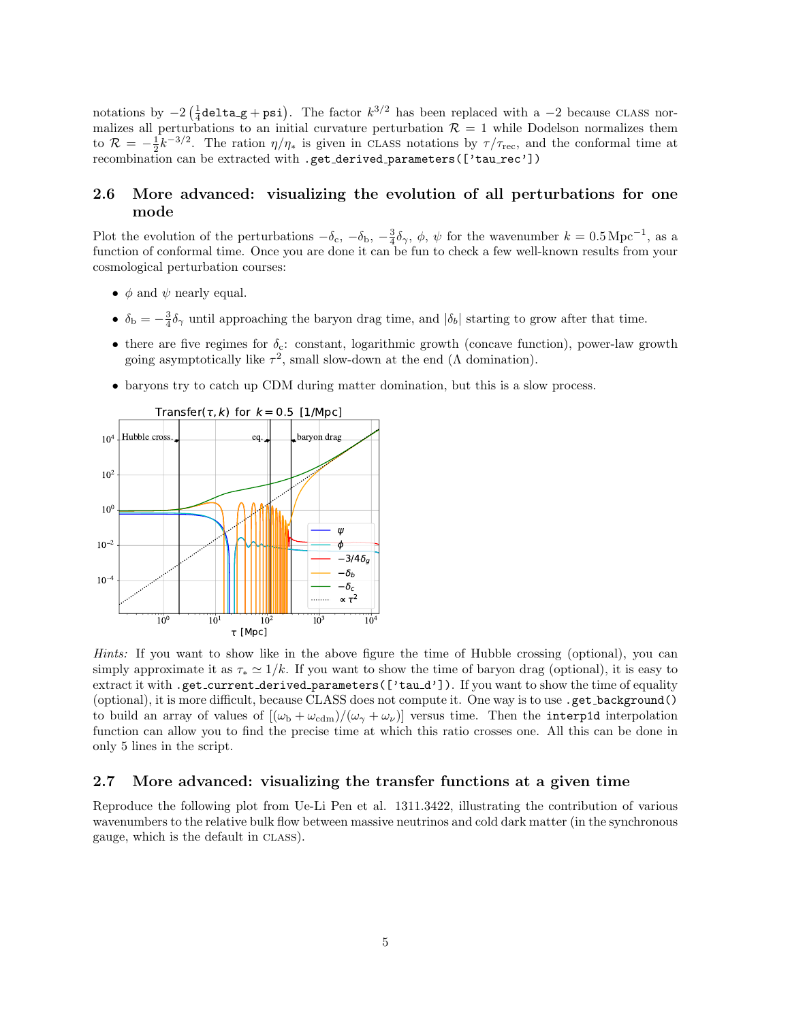notations by  $-2(\frac{1}{4}$ delta\_g + psi). The factor  $k^{3/2}$  has been replaced with a  $-2$  because CLASS normalizes all perturbations to an initial curvature perturbation  $\mathcal{R} = 1$  while Dodelson normalizes them to  $\mathcal{R} = -\frac{1}{2}k^{-3/2}$ . The ration  $\eta/\eta_*$  is given in CLASS notations by  $\tau/\tau_{\text{rec}}$ , and the conformal time at recombination can be extracted with .get\_derived\_parameters(['tau\_rec'])

## 2.6 More advanced: visualizing the evolution of all perturbations for one mode

Plot the evolution of the perturbations  $-\delta_c$ ,  $-\delta_b$ ,  $-\frac{3}{4}\delta_\gamma$ ,  $\phi$ ,  $\psi$  for the wavenumber  $k = 0.5 \,\mathrm{Mpc}^{-1}$ , as a function of conformal time. Once you are done it can be fun to check a few well-known results from your cosmological perturbation courses:

- $\phi$  and  $\psi$  nearly equal.
- $\delta_{\rm b} = -\frac{3}{4}\delta_{\gamma}$  until approaching the baryon drag time, and  $|\delta_b|$  starting to grow after that time.
- there are five regimes for  $\delta_c$ : constant, logarithmic growth (concave function), power-law growth going asymptotically like  $\tau^2$ , small slow-down at the end ( $\Lambda$  domination).
- baryons try to catch up CDM during matter domination, but this is a slow process.



Hints: If you want to show like in the above figure the time of Hubble crossing (optional), you can simply approximate it as  $\tau_* \simeq 1/k$ . If you want to show the time of baryon drag (optional), it is easy to extract it with .get\_current\_derived\_parameters(['tau\_d']). If you want to show the time of equality (optional), it is more difficult, because CLASS does not compute it. One way is to use .get background() to build an array of values of  $[(\omega_{b} + \omega_{cdm})/(\omega_{\gamma} + \omega_{\nu})]$  versus time. Then the interp1d interpolation function can allow you to find the precise time at which this ratio crosses one. All this can be done in only 5 lines in the script.

#### 2.7 More advanced: visualizing the transfer functions at a given time

Reproduce the following plot from Ue-Li Pen et al. 1311.3422, illustrating the contribution of various wavenumbers to the relative bulk flow between massive neutrinos and cold dark matter (in the synchronous gauge, which is the default in class).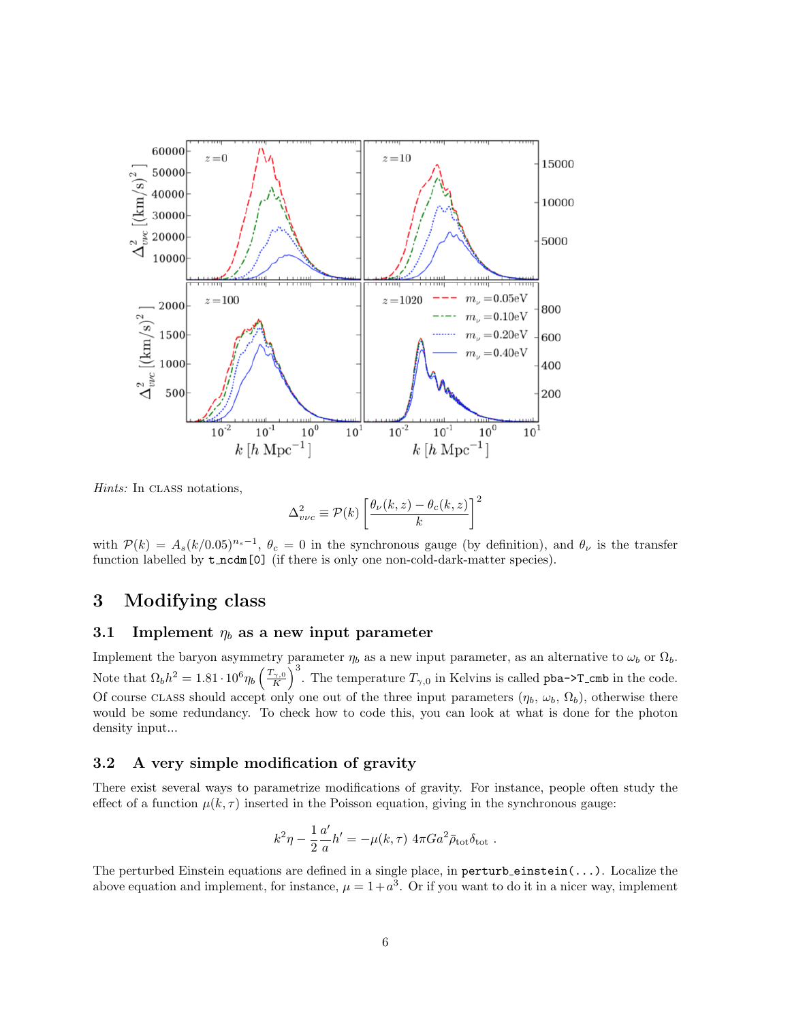

Hints: In CLASS notations,

$$
\Delta_{v\nu c}^{2} \equiv \mathcal{P}(k) \left[ \frac{\theta_{\nu}(k,z) - \theta_{c}(k,z)}{k} \right]^{2}
$$

with  $P(k) = A_s (k/0.05)^{n_s-1}$ ,  $\theta_c = 0$  in the synchronous gauge (by definition), and  $\theta_{\nu}$  is the transfer function labelled by  $t\_ncdm[0]$  (if there is only one non-cold-dark-matter species).

# 3 Modifying class

## 3.1 Implement  $\eta_b$  as a new input parameter

Implement the baryon asymmetry parameter  $\eta_b$  as a new input parameter, as an alternative to  $\omega_b$  or  $\Omega_b$ . Note that  $\Omega_b h^2 = 1.81 \cdot 10^6 \eta_b \left(\frac{T_{\gamma,0}}{K}\right)^3$ . The temperature  $T_{\gamma,0}$  in Kelvins is called pba->T\_cmb in the code. Of course class should accept only one out of the three input parameters  $(\eta_b, \omega_b, \Omega_b)$ , otherwise there would be some redundancy. To check how to code this, you can look at what is done for the photon density input...

### 3.2 A very simple modification of gravity

There exist several ways to parametrize modifications of gravity. For instance, people often study the effect of a function  $\mu(k, \tau)$  inserted in the Poisson equation, giving in the synchronous gauge:

$$
k^2\eta - \frac{1}{2}\frac{a'}{a}h' = -\mu(k,\tau) 4\pi Ga^2\bar{\rho}_{\rm tot}\delta_{\rm tot}.
$$

The perturbed Einstein equations are defined in a single place, in perturb einstein $(\ldots)$ . Localize the above equation and implement, for instance,  $\mu = 1 + a^3$ . Or if you want to do it in a nicer way, implement